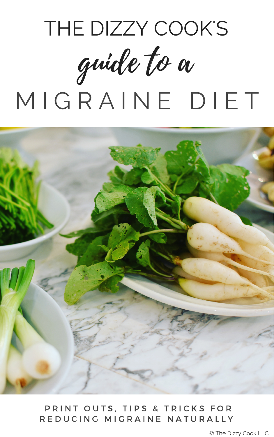



#### PRINT OUTS, TIPS & TRICKS FOR R E D U C I N G M I G R A I N E N A T U R A L L Y

© The Dizzy Cook LLC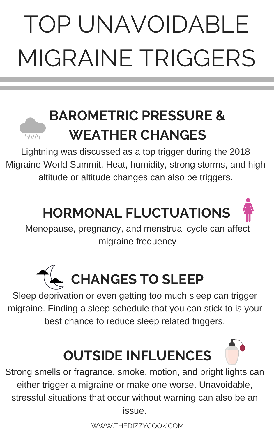# TOP UNAVOIDABLE MIGRAINE TRIGGERS

## **BAROMETRIC PRESSURE & WEATHER CHANGES**

Lightning was discussed as a top trigger during the 2018 Migraine World Summit. Heat, humidity, strong storms, and high altitude or altitude changes can also be triggers.

## **HORMONAL FLUCTUATIONS**

Menopause, pregnancy, and menstrual cycle can affect

#### migraine frequency



Sleep deprivation or even getting too much sleep can trigger migraine. Finding a sleep schedule that you can stick to is your best chance to reduce sleep related triggers.

## **OUTSIDE INFLUENCES**

Strong smells or fragrance, smoke, motion, and bright lights can either trigger a migraine or make one worse. Unavoidable, stressful situations that occur without warning can also be an issue.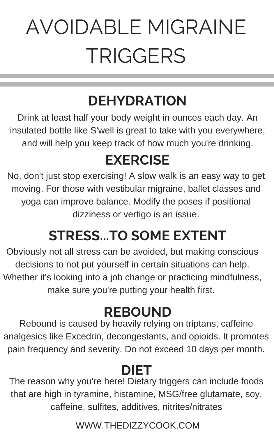# AVOIDABLE MIGRAINE TRIGGERS

## **DEHYDRATION**

Drink at least half your body weight in ounces each day. An insulated bottle like S'well is great to take with you everywhere, and will help you keep track of how much you're drinking.

### **EXERCISE**

No, don't just stop exercising! A slow walk is an easy way to get moving. For those with vestibular migraine, ballet classes and yoga can improve balance. Modify the poses if positional dizziness or vertigo is an issue.

### **STRESS...TO SOME EXTENT**

Obviously not all stress can be avoided, but making conscious decisions to not put yourself in certain situations can help. Whether it's looking into a job change or practicing mindfulness, make sure you're putting your health first.

### **DIET**

The reason why you're here! Dietary triggers can include foods that are high in tyramine, histamine, MSG/free glutamate, soy, caffeine, sulfites, additives, nitrites/nitrates

### **REBOUND**

Rebound is caused by heavily relying on triptans, caffeine analgesics like Excedrin, decongestants, and opioids. It promotes pain frequency and severity. Do not exceed 10 days per month.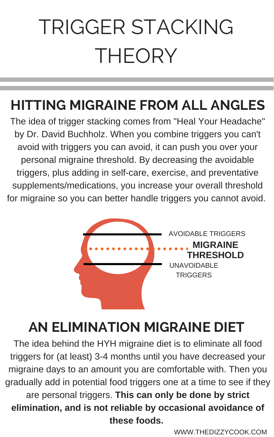# TRIGGER STACKING THEORY

### **HITTING MIGRAINE FROM ALL ANGLES**

The idea of trigger stacking comes from "Heal Your Headache" by Dr. David Buchholz. When you combine triggers you can't avoid with triggers you can avoid, it can push you over your personal migraine threshold. By decreasing the avoidable triggers, plus adding in self-care, exercise, and preventative supplements/medications, you increase your overall threshold for migraine so you can better handle triggers you cannot avoid.

## **AN ELIMINATION MIGRAINE DIET**

The idea behind the HYH migraine diet is to eliminate all food triggers for (at least) 3-4 months until you have decreased your migraine days to an amount you are comfortable with. Then you gradually add in potential food triggers one at a time to see if they are personal triggers. **This can only be done by strict elimination, and is not reliable by occasional avoidance of these foods.**

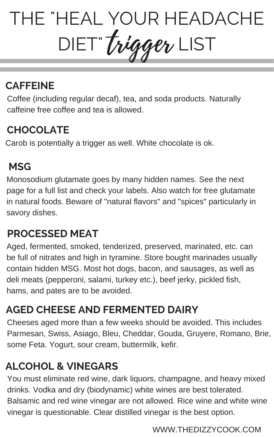#### **CAFFEINE**

Coffee (including regular decaf), tea, and soda products. Naturally caffeine free coffee and tea is allowed.

#### **CHOCOLATE**

Carob is potentially a trigger as well. White chocolate is ok.

#### **MSG**

Monosodium glutamate goes by many hidden names. See the next page for a full list and check your labels. Also watch for free glutamate in natural foods. Beware of "natural flavors" and "spices" particularly in savory dishes.

## THE "HEAL YOUR HEADACHE DIET" Trigger LIST trigger

#### **AGED CHEESE AND FERMENTED DAIRY**

#### **PROCESSED MEAT**

Aged, fermented, smoked, tenderized, preserved, marinated, etc. can be full of nitrates and high in tyramine. Store bought marinades usually contain hidden MSG. Most hot dogs, bacon, and sausages, as well as deli meats (pepperoni, salami, turkey etc.), beef jerky, pickled fish, hams, and pates are to be avoided.

Cheeses aged more than a few weeks should be avoided. This includes Parmesan, Swiss, Asiago, Bleu, Cheddar, Gouda, Gruyere, Romano, Brie, some Feta. Yogurt, sour cream, buttermilk, kefir.

#### **ALCOHOL & VINEGARS**

You must eliminate red wine, dark liquors, champagne, and heavy mixed drinks. Vodka and dry (biodynamic) white wines are best tolerated. Balsamic and red wine vinegar are not allowed. Rice wine and white wine vinegar is questionable. Clear distilled vinegar is the best option.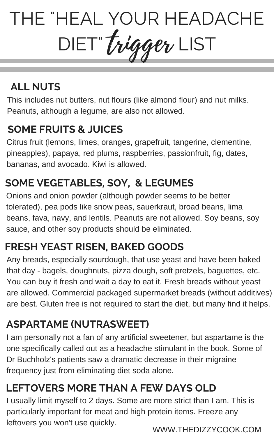#### **SOME FRUITS & JUICES**

Citrus fruit (lemons, limes, oranges, grapefruit, tangerine, clementine, pineapples), papaya, red plums, raspberries, passionfruit, fig, dates, bananas, and avocado. Kiwi is allowed.

#### **SOME VEGETABLES, SOY, & LEGUMES**

## THE "HEAL YOUR HEADACHE DIET" Trigger LIST trigger

Onions and onion powder (although powder seems to be better tolerated), pea pods like snow peas, sauerkraut, broad beans, lima beans, fava, navy, and lentils. Peanuts are not allowed. Soy beans, soy sauce, and other soy products should be eliminated.

#### **FRESH YEAST RISEN, BAKED GOODS**

Any breads, especially sourdough, that use yeast and have been baked that day - bagels, doughnuts, pizza dough, soft pretzels, baguettes, etc. You can buy it fresh and wait a day to eat it. Fresh breads without yeast are allowed. Commercial packaged supermarket breads (without additives) are best. Gluten free is not required to start the diet, but many find it helps.

#### **ASPARTAME (NUTRASWEET)**

I am personally not a fan of any artificial sweetener, but aspartame is the one specifically called out as a headache stimulant in the book. Some of Dr Buchholz's patients saw a dramatic decrease in their migraine frequency just from eliminating diet soda alone.

WWW.THEDIZZYCOOK.COM

This includes nut butters, nut flours (like almond flour) and nut milks. Peanuts, although a legume, are also not allowed.

#### **ALL NUTS**

#### **LEFTOVERS MORE THAN A FEW DAYS OLD**

I usually limit myself to 2 days. Some are more strict than I am. This is particularly important for meat and high protein items. Freeze any leftovers you won't use quickly.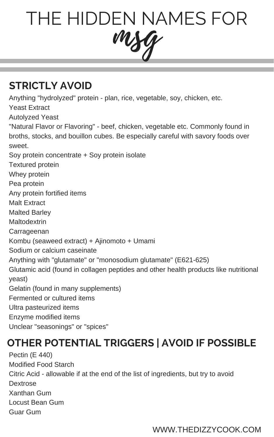#### **STRICTLY AVOID**

Anything "hydrolyzed" protein - plan, rice, vegetable, soy, chicken, etc.

Yeast Extract

Autolyzed Yeast

"Natural Flavor or Flavoring" - beef, chicken, vegetable etc. Commonly found in broths, stocks, and bouillon cubes. Be especially careful with savory foods over sweet.

Soy protein concentrate + Soy protein isolate

Textured protein

Whey protein

Pea protein

Any protein fortified items



Malt Extract

Malted Barley

Maltodextrin

Carrageenan Kombu (seaweed extract) + Ajinomoto + Umami Sodium or calcium caseinate Anything with "glutamate" or "monosodium glutamate" (E621-625) Glutamic acid (found in collagen peptides and other health products like nutritional yeast) Gelatin (found in many supplements) Fermented or cultured items Ultra pasteurized items Enzyme modified items Unclear "seasonings" or "spices"

WWW.THEDIZZYCOOK.COM

#### **OTHER POTENTIAL TRIGGERS | AVOID IF POSSIBLE**

Pectin (E 440) Modified Food Starch Citric Acid - allowable if at the end of the list of ingredients, but try to avoid Dextrose Xanthan Gum Locust Bean Gum Guar Gum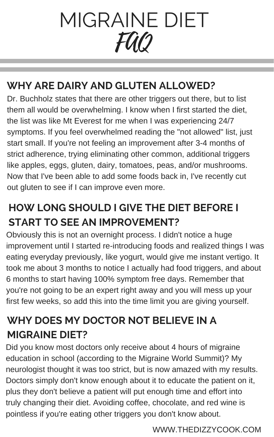#### **WHY ARE DAIRY AND GLUTEN ALLOWED?**

Dr. Buchholz states that there are other triggers out there, but to list them all would be overwhelming. I know when I first started the diet, the list was like Mt Everest for me when I was experiencing 24/7 symptoms. If you feel overwhelmed reading the "not allowed" list, just start small. If you're not feeling an improvement after 3-4 months of strict adherence, trying eliminating other common, additional triggers like apples, eggs, gluten, dairy, tomatoes, peas, and/or mushrooms. Now that I've been able to add some foods back in, I've recently cut out gluten to see if I can improve even more.

#### **HOW LONG SHOULD I GIVE THE DIET BEFORE I START TO SEE AN IMPROVEMENT?**

# MIGRAINE DIET FAQ

Obviously this is not an overnight process. I didn't notice a huge improvement until I started re-introducing foods and realized things I was eating everyday previously, like yogurt, would give me instant vertigo. It took me about 3 months to notice I actually had food triggers, and about 6 months to start having 100% symptom free days. Remember that you're not going to be an expert right away and you will mess up your first few weeks, so add this into the time limit you are giving yourself.

#### **WHY DOES MY DOCTOR NOT BELIEVE IN A MIGRAINE DIET?**

Did you know most doctors only receive about 4 hours of migraine education in school (according to the Migraine World Summit)? My neurologist thought it was too strict, but is now amazed with my results. Doctors simply don't know enough about it to educate the patient on it, plus they don't believe a patient will put enough time and effort into truly changing their diet. Avoiding coffee, chocolate, and red wine is pointless if you're eating other triggers you don't know about.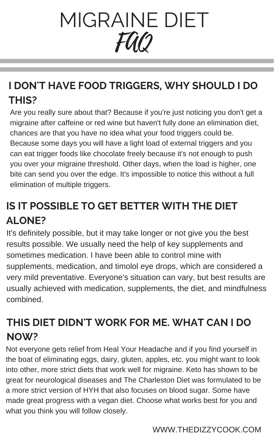#### **I DON'T HAVE FOOD TRIGGERS, WHY SHOULD I DO THIS?**

Are you really sure about that? Because if you're just noticing you don't get a migraine after caffeine or red wine but haven't fully done an elimination diet, chances are that you have no idea what your food triggers could be. Because some days you will have a light load of external triggers and you can eat trigger foods like chocolate freely because it's not enough to push you over your migraine threshold. Other days, when the load is higher, one bite can send you over the edge. It's impossible to notice this without a full elimination of multiple triggers.

# MIGRAINE DIET FAQ

#### **IS IT POSSIBLE TO GET BETTER WITH THE DIET ALONE?**

It's definitely possible, but it may take longer or not give you the best results possible. We usually need the help of key supplements and sometimes medication. I have been able to control mine with supplements, medication, and timolol eye drops, which are considered a very mild preventative. Everyone's situation can vary, but best results are usually achieved with medication, supplements, the diet, and mindfulness combined.

#### WWW.THEDIZZYCOOK.COM

#### **THIS DIET DIDN'T WORK FOR ME. WHAT CAN I DO NOW?**

Not everyone gets relief from Heal Your Headache and if you find yourself in the boat of eliminating eggs, dairy, gluten, apples, etc. you might want to look into other, more strict diets that work well for migraine. Keto has shown to be great for neurological diseases and The Charleston Diet was formulated to be a more strict version of HYH that also focuses on blood sugar. Some have made great progress with a vegan diet. Choose what works best for you and what you think you will follow closely.